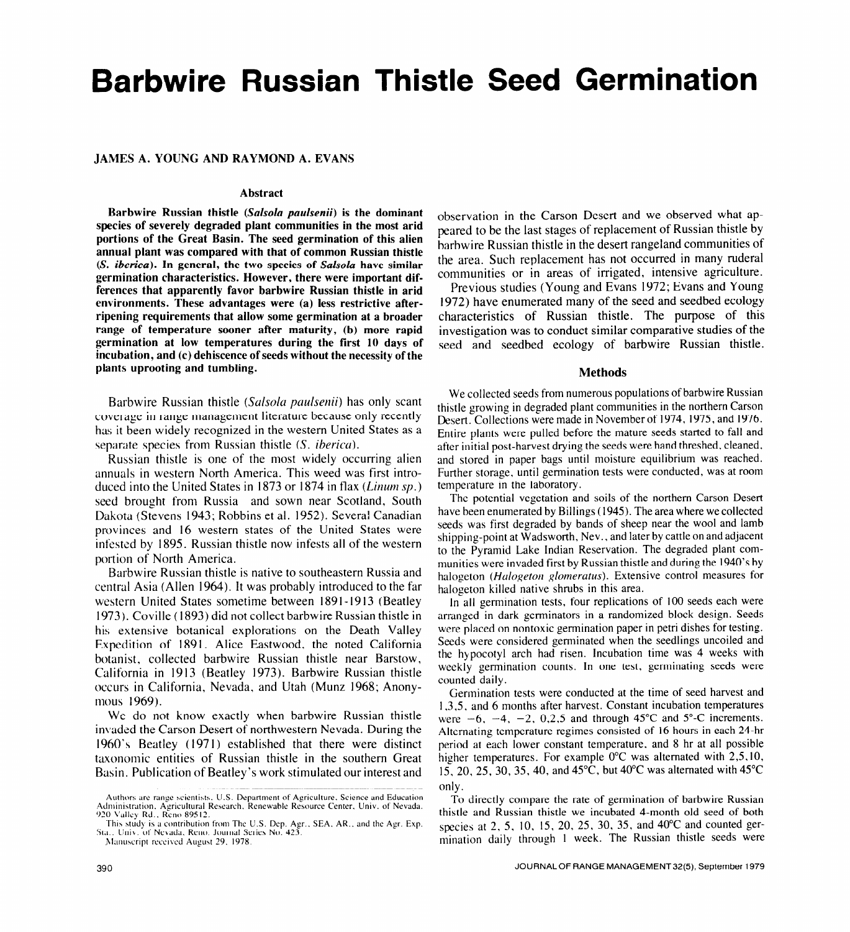# **Barbwire Russian Thistle Seed Germination**

# **JAMES A. YOUNG AND RAYMOND A. EVANS**

#### **Abstract**

**Barbwire Russian thistle** *(Salsolu paulsenii)* **is the dominant species of severely degraded plant communities in the most arid portions of the Great Basin. The seed germination of this alien annual plant was compared with that of common Russian thistle (S.** *iberica).* **In general, the two species of Sufsolu have similar germination characteristics. However, there were important differences that apparently favor barbwire Russian thistle in arid environments. These advantages were (a) less restrictive afterripening requirements that allow some germination at a broader range of temperature sooner after maturity, (b) more rapid germination at low temperatures during the first 10 days of incubation, and (c) dehiscence of seeds without the necessity of the plants uprooting and tumbling.** 

Barbwire Russian thistle (Salsola paulsenii) has only scant coverage in range management literature because only recently has it been widely recognized in the western United States as a separate species from Russian thistle (S. *iberica*).

Russian thistle is one of the most widely occurring alien annuals in western North America. This weed was first introduced into the United States in 1873 or 1874 in flax (*Linum sp.*) seed brought from Russia and sown near Scotland, South Dakota (Stevens 1943; Robbins et al. 1952). Severa! Canadian provinces and I6 western states of the United States were infested by 1895. Russian thistle now infests all of the western portion of North America.

Barbwire Russian thistle is native to southeastern Russia and central Asia (Allen 1964). It was probably introduced to the far western United States sometime between 1891-1913 (Beatley 1973). Coville ( 1893) did not collect barbwire Russian thistle in his extensive botanical explorations on the Death Valley Expedition of 1891. Alice Eastwood, the noted California botanist, collected barbwire Russian thistle near Barstow, California in 1913 (Beatley 1973). Barbwire Russian thistle occurs in California, Nevada, and Utah (Munz 1968; Anonymous 1969).

We do not know exactly when barbwire Russian thistle invaded the Carson Desert of northwestern Nevada. During the 1960's Beatley (1971) established that there were distinct taxonomic entities of Russian thistle in the southern Great Basin. Publication of Beatley's work stimulated our interest and

Manuscript received August 29, 1978.

observation in the Carson Desert and we observed what appeared to be the last stages of replacement of Russian thistle by barbwire Russian thistle in the desert rangeland communities of the area. Such replacement has not occurred in many ruderal communities or in areas of irrigated, intensive agriculture.

Previous studies (Young and Evans 1972; Evans and Young 1972) have enumerated many of the seed and seedbed ecology characteristics of Russian thistle. The purpose of this investigation was to conduct similar comparative studies of the seed and seedbed ecology of barbwire Russian thistle.

# **Methods**

We collected seeds from numerous populations of barbwire Russian thistle growing in degraded plant communities in the northern Carson Desert. Collections were made in November of 1974, 1975, and 1976. Entire plants were pulled before the mature seeds started to fall and after initial post-harvest drying the seeds were hand threshed, cleaned, and stored in paper bags until moisture equilibrium was reached. Further storage, until germination tests were conducted, was at room temperature in the laboratory.

The potential vegetation and soils of the northern Carson Desert have been enumerated by Billings (1945). The area where we collected seeds was first degraded by bands of sheep near the wool and lamb shipping-point at Wadsworth, Nev., and later by cattle on and adjacent to the Pyramid Lake Indian Reservation. The degraded plant communities were invaded first by Russian thistle and during the 1940's by halogeton (Halogeton glomeratus). Extensive control measures for halogeton killed native shrubs in this area.

In all germination tests, four replications of 100 seeds each were arranged in dark germinators in a randomized block design. Seeds were placed on nontoxic germination paper in petri dishes for testing. Seeds were considered germinated when the seedlings uncoiled and the hypocotyl arch had risen. Incubation time was 4 weeks with weekly germination counts. In one test, germinating seeds were counted daily.

Germination tests were conducted at the time of seed harvest and 1,3,5, and 6 months after harvest. Constant incubation temperatures were  $-6$ ,  $-4$ ,  $-2$ , 0,2,5 and through 45°C and 5°-C increments. Alternating temperature regimes consisted of 16 hours in each 24-hr period at each lower constant temperature, and 8 hr at all possible higher temperatures. For example 0°C was alternated with 2,5,10, 15, 20, 25, 30, 35, 40, and 45'C, but 40°C was alternated with 45°C only.

TO directly compare the rate of germination of barbwire Russian thistle and Russian thistle we incubated 4-month old seed of both species at 2, 5, 10, 15, 20, 25, 30, 35, and 40°C and counted germination daily through 1 week. The Russian thistle seeds were

Authors are range scientists, U.S. Department of Agriculture, Science and Education Administration. Agricultural Research. Renewable Resource Center. Univ. of Nevada. **920 Valley Rd.. Reno 89512.** 

This study is a contribution from The U.S. Dep. Agr., SEA, AR., and the Agr. Exp. Sta.. Univ. of Nevada. Reno. Journal Series No. 423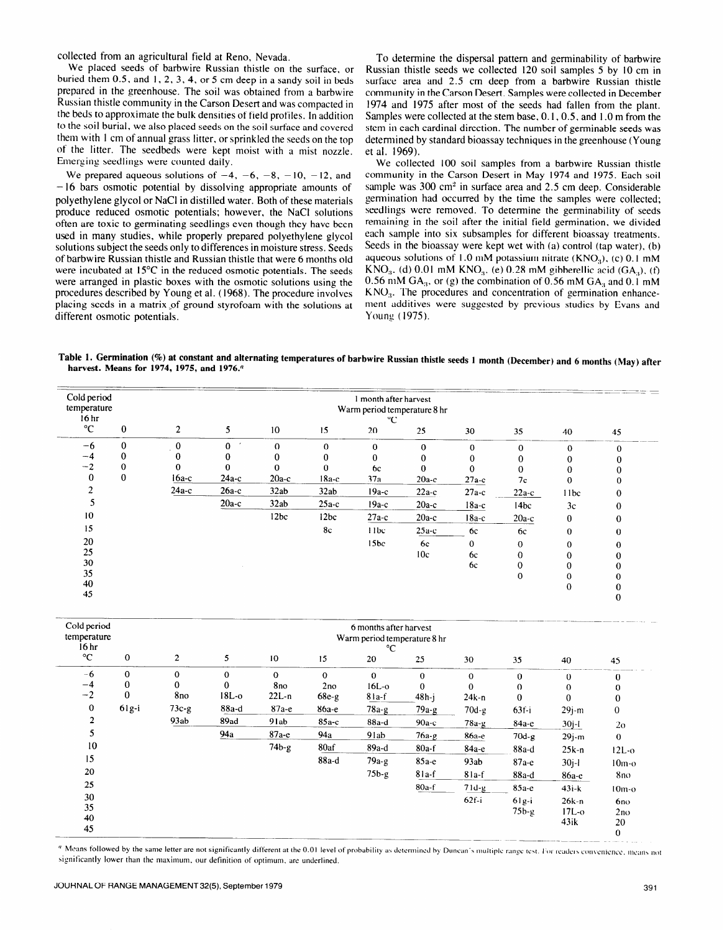collected from an agricultural field at Reno, Nevada.

We placed seeds of barbwire Russian thistle on the surface, or buried them 0.5, and 1, 2, 3.4, or 5 cm deep in a sandy soil in beds prepared in the greenhouse. The soil was obtained from a barbwire Russian thistle community in the Carson Desert and was compacted in the beds to approximate the bulk densities of field profiles. In addition to the soil burial, we also placed seeds on the soil surface and covered them with I cm of annual grass litter, or sprinkled the seeds on the **top of** the litter. The seedbeds were kept moist with a mist **nozzle.**  Emerging seedlings were counted daily.

We prepared aqueous solutions of  $-4$ ,  $-6$ ,  $-8$ ,  $-10$ ,  $-12$ , and - I6 bars osmotic potential by dissolving appropriate amounts of polyethylene glycol or NaCl in distilled water. Both of these materials produce reduced osmotic potentials; however, the NaCl solutions often are toxic to germinating seedlings even though they have been used in many studies, while properly prepared polyethylene glycol solutions subject the seeds only to differences in moisture stress. Seeds of barbwire Russian thistle and Russian thistle that were 6 months old were incubated at 15°C in the reduced osmotic potentials. The seeds were arranged in plastic boxes with the osmotic solutions using the procedures described by Young et al. (1968). The procedure involves placing seeds in a matrix of ground styrofoam with the solutions at different osmotic potentials.

To determine the dispersal pattern and germinability of barbwire Russian thistle seeds we collected 120 soil samples 5 by IO cm in surface area and 2.5 cm deep from a barbwire Russian thistle community in the Carson Desert. Samples were collected in December 1974 and 1975 after most of the seeds had fallen from the plant. Samples were collected at the stem base, 0. I, 0.5, and I .O m from the stem in each cardinal direction. The number of germinable seeds was determined by standard bioassay techniques in the greenhouse (Young et al. 1969).

We collected 100 soil samples from a barbwire Russian thistle community in the Carson Desert in May 1974 and 1975. Each soil sample was 300 cm<sup>2</sup> in surface area and 2.5 cm deep. Considerable germination had occurred by the time the samples were collected; seedlings were removed. To determine the germinability of seeds remaining in the soil after the initial field germination, we divided each sample into six subsamples for different bioassay treatments. Seeds in the bioassay were kept wet with (a) control (tap water), (b) aqueous solutions of 1.0 mM potassium nitrate  $(KNO<sub>3</sub>)$ , (c) 0.1 mM  $KNO<sub>3</sub>$ . (d) 0.01 mM  $KNO<sub>3</sub>$ , (e) 0.28 mM gibberellic acid (GA<sub>3</sub>), (f) 0.56 mM GA<sub>3</sub>, or (g) the combination of 0.56 mM GA<sub>3</sub> and 0.1 mM  $KNO<sub>3</sub>$ . The procedures and concentration of germination enhancement additives were suggested by previous studies by Evans and Young ( 1975).

**Table 1. Germination (%) at constant and alternating temperatures of barbwire Russian thistle seeds 1 month (December) and 6 months (May) after harvest. Means for 1974, 1975, and 1976."** 

| Cold period<br>temperature<br>16 <sub>hr</sub> |          | month after harvest<br>Warm period temperature 8 hr |         |                  |          |                  |           |          |                  |          |          |  |
|------------------------------------------------|----------|-----------------------------------------------------|---------|------------------|----------|------------------|-----------|----------|------------------|----------|----------|--|
| $^{\circ}C$                                    | 0        | $\overline{2}$                                      | 5       | 10               | 15       | 20               | 25        | 30       | 35               | 40       | 45       |  |
| $-6$                                           | $\bf{0}$ | 0                                                   |         | $\bf{0}$         | $\Omega$ | $\bf{0}$         | $\Omega$  | 0        | $\Omega$         | $\Omega$ | $\Omega$ |  |
| $-4$                                           | 0        |                                                     |         |                  |          | 0                | 0         |          |                  |          |          |  |
| $-2$                                           | 0        | 0                                                   |         | 0                | 0        | 6c               |           |          |                  |          |          |  |
| 0                                              | 0        | $16a-c$                                             | $24a-c$ | $20a-c$          | $18a-c$  | 37a              | $20a-c$   | $27a-c$  | 7c               | 0        |          |  |
|                                                |          | $24a-c$                                             | $26a-c$ | 32ab             | 32ab     | $19a-c$          | $22a-c$   | $27a$ c  | $22a-c$          | 11bc     | 0        |  |
|                                                |          |                                                     | $20a-c$ | 32ab             | $25a-c$  | $19a-c$          | $20a-c$   | $18a-c$  | 14 <sub>bc</sub> | 3c       | $\Omega$ |  |
| 10                                             |          |                                                     |         | 12 <sub>bc</sub> | 12bc     | $27a-c$          | $20a-c$   | $18a-c$  | $20a-c$          | 0        | U        |  |
| 15                                             |          |                                                     |         |                  | 8c       | 11bc             | $25a-c$   | 6c       | 6c               | $\Omega$ | n        |  |
| 20                                             |          |                                                     |         |                  |          | 15 <sub>bc</sub> | <b>6c</b> | $\Omega$ | $\Omega$         |          |          |  |
| 25                                             |          |                                                     |         |                  |          |                  | 10c       | 6c       | 0                |          |          |  |
| 30                                             |          |                                                     |         |                  |          |                  |           | 6c       | 0                |          |          |  |
| 35                                             |          |                                                     |         |                  |          |                  |           |          | 0                |          |          |  |
| 40                                             |          |                                                     |         |                  |          |                  |           |          |                  | 0        |          |  |
| 45                                             |          |                                                     |         |                  |          |                  |           |          |                  |          |          |  |

| Cold period<br>temperature<br>16 <sub>hr</sub> |                | 6 months after harvest<br>Warm period temperature 8 hr<br>°C |             |              |          |              |          |          |              |             |                |  |
|------------------------------------------------|----------------|--------------------------------------------------------------|-------------|--------------|----------|--------------|----------|----------|--------------|-------------|----------------|--|
| $^{\circ}C$                                    | $\bf{0}$       | $\overline{2}$                                               | 5           | 10           | 15       | 20           | 25       | 30       | 35           | 40          | 45             |  |
| $-6$                                           | $\overline{0}$ | $\mathbf{0}$                                                 | $\mathbf 0$ | $\mathbf{0}$ | $\Omega$ | $\mathbf{0}$ | $\bf{0}$ | 0        | $\mathbf 0$  | $\mathbf 0$ | 0              |  |
| $-4$                                           | $\bf{0}$       | 0                                                            | 0           | 8no          | 2no      | $16L-0$      | $\Omega$ | $\Omega$ | $\bf{0}$     | 0           | 0              |  |
| $-2$                                           | $\bf{0}$       | 8no                                                          | $18L-0$     | $22L-n$      | 68e-g    | $81a-f$      | $48h-i$  | $24k-n$  | $\mathbf{0}$ | $\theta$    | 0              |  |
| $\mathbf 0$                                    | $61g-i$        | $73c-g$                                                      | 88a-d       | $87a-e$      | 86а-е    | $78a-g$      | $79a-g$  | $70d-g$  | $63f - i$    | $29j-m$     | $\bf{0}$       |  |
| $\overline{2}$                                 |                | 93ab                                                         | 89ad        | 91ab         | $85a-c$  | 88a-d        | $90a-c$  | $78a-g$  | $84a-e$      | $30j-1$     | 2 <sub>o</sub> |  |
|                                                |                |                                                              | 94a         | $87a-e$      | 94a      | 91ab         | $76a-g$  | 86а-е    | $70d-g$      | $29j-m$     | 0              |  |
| 10                                             |                |                                                              |             | $74b-g$      | 80af     | $89a-d$      | $80a-f$  | 84а-е    | $88a-d$      | $25k-n$     | $12L-0$        |  |
| 15                                             |                |                                                              |             |              | 88a-d    | 79a-g        | $85a-e$  | 93ab     | $87a-e$      | $30j-l$     | $10m-o$        |  |
| 20                                             |                |                                                              |             |              |          | $75b-g$      | $81a-f$  | $81a-f$  | 88a-d        | 86а-е       | 8no.           |  |
| 25                                             |                |                                                              |             |              |          |              | $80a-f$  | $71d-g$  | $85a-e$      | $43 - k$    | $10m-o$        |  |
| 30                                             |                |                                                              |             |              |          |              |          | $62f-i$  | $61g-i$      | $26k-n$     | 6no            |  |
| 35                                             |                |                                                              |             |              |          |              |          |          | $75b-g$      | $17L-0$     | 2no            |  |
| 40                                             |                |                                                              |             |              |          |              |          |          |              | 43ik        | 20             |  |
| 45                                             |                |                                                              |             |              |          |              |          |          |              |             | $\bf{0}$       |  |

 $\textsuperscript{4}$  Means followed by the same letter are not significantly different at the 0.01 level of probability as determined by Duncan's multiple range test. For readers convenience, means not significantly lower than the maximum, our definition of optimum, are underlined.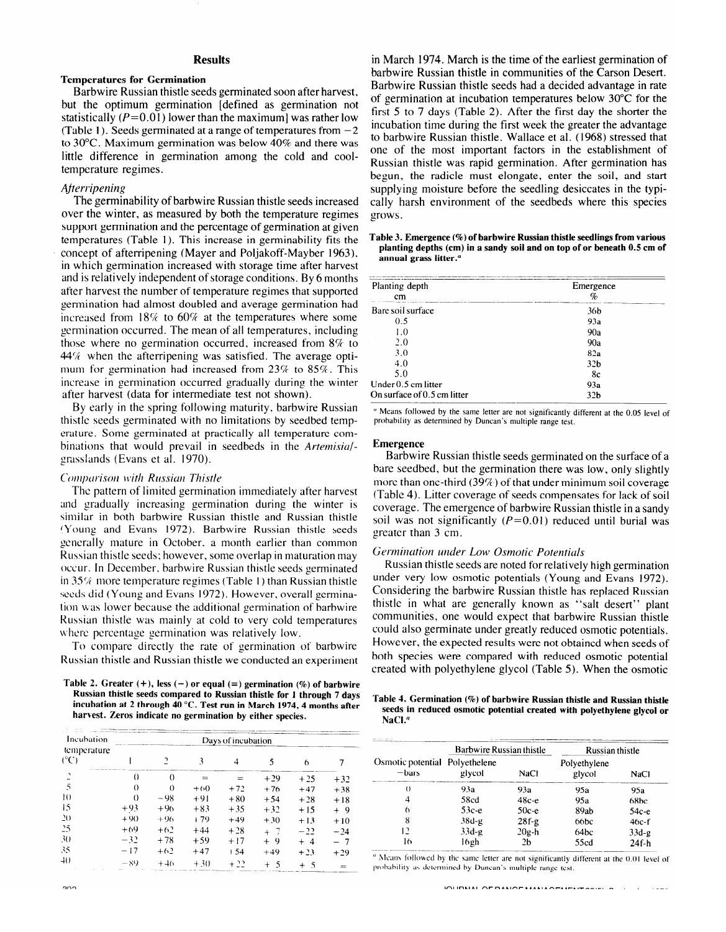### **Results**

#### **Temperatures for Germination**

Barbwire Russian thistle seeds germinated soon after harvest, but the optimum germination [defined as germination not statistically ( $P=0.01$ ) lower than the maximum] was rather low (Table 1). Seeds germinated at a range of temperatures from  $-2$ to 30°C. Maximum germination was below 40% and there was little difference in germination among the cold and cooltemperature regimes.

# *Ajterripening*

The germinability of barbwire Russian thistle seeds increased over the winter, as measured by both the temperature regimes support germination and the percentage of germination at given temperatures (Table 1). This increase in germinability fits the concept of afterripening (Mayer and Poljakoff-Mayber 1963), in which germination increased with storage time after harvest and is relatively independent of storage conditions. By 6 months after harvest the number of temperature regimes that supported germination had almost doubled and average germination had increased from 18% to 60% at the temperatures where some germination occurred. The mean of all temperatures, including those where no germination occurred, increased from  $8\%$  to  $44%$  when the afterripening was satisfied. The average optimum for germination had increased from 23% to 85%. This increase in germination occurred gradually during the winter after harvest (data for intermediate test not shown).

By early in the spring following maturity. barbwire Russian thistle seeds germinated with no limitations by seedbed temperature. Some germinated at practically all temperature combinations that would prevail in seedbeds in the *Artemisiul*grasslands (Evans et al. 1970).

# **Comparison with Russian Thistle**

The pattern of limited germination immediately after harvest and gradually increasing germination during the winter is similar in both barbwire Russian thistle and Russian thistle **~\r'oun~** and Evans 1972). Barbwire Russian thistle seeds expectedly mature in October, a month earlier than common Russian thistle seeds; however, some overlap in maturation may occur. In December. barbwire Russian thistle seeds germinated in  $35\%$  more temperature regimes (Table 1) than Russian thistle seeds did (Young and Evans 1972). However, overall germination uas lower because the additional germination of barbwire Russian thistle was mainly at cold to very cold temperatures where percentage germination was relatively low.

To compare directly the rate of germination of barbwire Russian thistle and Russian thistle we conducted an experiment

#### Table 2. Greater  $(+)$ , less  $(-)$  or equal  $(=)$  germination  $(\%)$  of barbwire **Russian thistle seeds compared to Russian thistle for I through 7 days incubation at 2 through 40 "C. Test run in March 1974,4 months after harvest. Zeros indicate no germination by either species.**

| Incubation<br>temperature | Days of incubation |          |       |       |       |        |       |  |  |  |
|---------------------------|--------------------|----------|-------|-------|-------|--------|-------|--|--|--|
| (°C)                      |                    |          |       |       |       |        |       |  |  |  |
| `                         | $\Omega$           | $\Omega$ |       | $=$   | $+29$ | $+25$  | $+32$ |  |  |  |
| 5                         | $\theta$           | $\Omega$ | $+60$ | $+72$ | $+76$ | $+47$  | $+38$ |  |  |  |
| 10                        | $\theta$           | -98      | $+91$ | $+80$ | $+54$ | $+28$  | $+18$ |  |  |  |
| 15                        | $+93$              | $+96$    | $+83$ | $+35$ | $+32$ | $+15$  | $+9$  |  |  |  |
| 20                        | $+9()$             | $+96$    | $+79$ | $+49$ | $+30$ | $+13$  | $+10$ |  |  |  |
| 25                        | $+69$              | $+62$    | $+44$ | $+28$ | $+$ 7 | $-22$  | $-24$ |  |  |  |
| 30                        | $-32$              | $+78$    | $+59$ | $+17$ | + 9   | $+4$   | $-7$  |  |  |  |
| 35                        | $-17$              | $+62$    | $+47$ | $+54$ | $+49$ | $+23$  | $+29$ |  |  |  |
| $40^{\circ}$              | $-89$              | $+40$    | $+30$ | $+22$ | + 5   | $^{+}$ |       |  |  |  |

in March 1974. March is the time of the earliest germination of barbwire Russian thistle in communities of the Carson Desert. Barbwire Russian thistle seeds had a decided advantage in rate of germination at incubation temperatures below 30°C for the first 5 to 7 days (Table 2). After the first day the shorter the incubation time during the first week the greater the advantage to barbwire Russian thistle. Wallace et al. (1968) stressed that one of the most important factors in the establishment of Russian thistle was rapid germination. After germination has begun, the radicle must elongate, enter the soil, and start supplying moisture before the seedling desiccates in the typically harsh environment of the seedbeds where this species grows .

#### **Table 3. Emergence (%) of barbwire Russian thistle seedlings from various planting depths (cm) in a sandy soil and on top of or beneath 0.5 cm of annual grass litter."**

| Planting depth              | Emergence       |  |  |
|-----------------------------|-----------------|--|--|
| cm                          | q,              |  |  |
| Bare soil surface           | 36b             |  |  |
| 0.5                         | 93a             |  |  |
| 1.0                         | 90a             |  |  |
| 2.0                         | 90a             |  |  |
| 3.0                         | 82a             |  |  |
| 4.0                         | 32 <sub>b</sub> |  |  |
| 5.0                         | 8c              |  |  |
| Under $0.5$ cm litter       | 93a             |  |  |
| On surface of 0.5 cm litter | 32b             |  |  |

" Means followed by the same letter are not significantly different **at** the 0.05 level of probability as determined by Duncan's multiple range test.

## **Emergence**

Barbwire Russian thistle seeds germinated on the surface of a bare seedbed, but the germination there was low, only slightly more than one-third (39%) of that under minimum soil coverage (Table 4). Litter coverage of seeds compensates for lack of soil coverage. The emergence of barbwire Russian thistle in a sandy soil was not significantly  $(P=0.01)$  reduced until burial was greater than 3 cm.

# *Germiwtion under Low Osmotic Potentids*

Russian thistle seeds are noted for relatively high germination under very low osmotic potentials (Young and Evans 1972). Considering the barbwire Russian thistle has replaced Russian thistle in what are generally known as "salt desert" plant communities, one would expect that barbwire Russian thistle could also germinate under greatly reduced osmotic potentials. However, the expected results were not obtained when seeds of both species were compared with reduced osmotic potential created with polyethylene glycol (Table 5). When the osmotic

# **Table 4. Germination (%) of barbwire Russian thistle and Russian thistle seeds in reduced osmotic potential created with polyethylene glycol or NaCI."**

|                                           | Barbwire Russian thistle |         | Russian thistle        |         |  |  |
|-------------------------------------------|--------------------------|---------|------------------------|---------|--|--|
| Osmotic potential Polyethelene<br>$-bars$ | glycol                   | NaCl    | Polyethylene<br>glycol | NaCl    |  |  |
| $^{(+)}$                                  | 93a                      | 93a     | 95a                    | 95a     |  |  |
|                                           | 58cd                     | 48с-е   | 95a                    | 68bc    |  |  |
| b                                         | 53с-е                    | $50c-e$ | 89ab                   | 54с-е   |  |  |
| 8                                         | 38d-g                    | $28f-g$ | 66bc                   | 46c-f   |  |  |
| יו                                        | $33d-g$                  | $20g-h$ | 64bc                   | $33d-g$ |  |  |
| 16                                        | 16gh                     | 2b      | 55cd                   | $24f-h$ |  |  |

same letter are not significantly different at the 0.01 level of probability as determined by Duncan's multiple range test.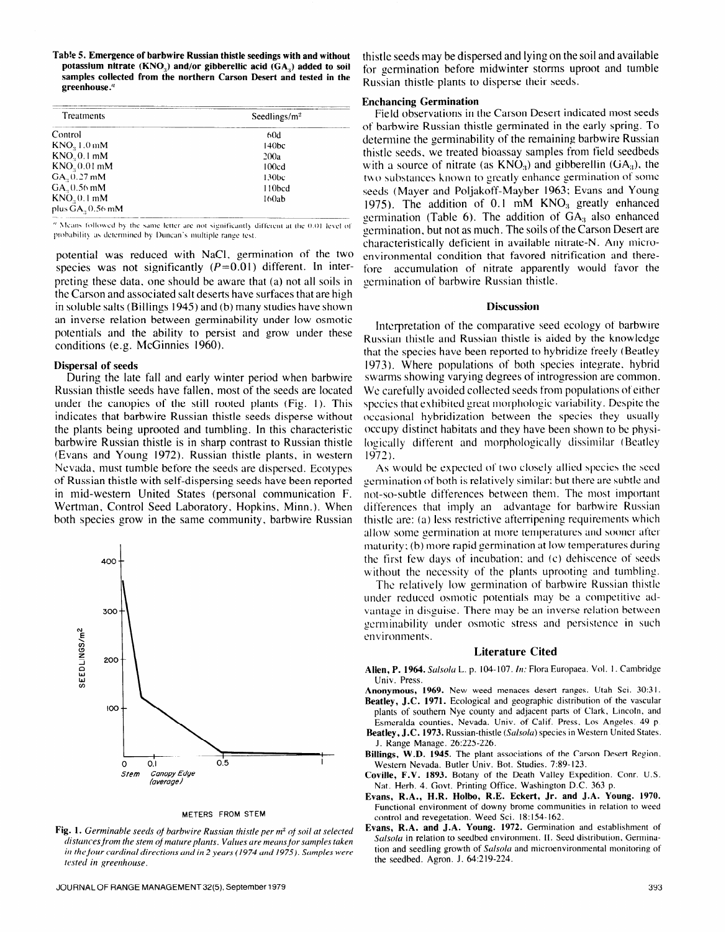**Tab!e 5. Emergence of barbwire Russian thistle seedings with and without**  potassium nitrate (KNO<sub>2</sub>) and/or gibberellic acid (GA<sub>2</sub>) added to soil **samples collected from the northern Carson Desert and tested in the greenhouse."** 

| Treatments               | Seedlings/ $m2$   |  |  |  |  |
|--------------------------|-------------------|--|--|--|--|
| Control                  | 60d               |  |  |  |  |
| KNO <sub>2</sub> 1.0 mM  | 140bc             |  |  |  |  |
| $KNO, 0.1$ mM            | 200a              |  |  |  |  |
| KNO <sub>2</sub> 0.01 mM | 100cd             |  |  |  |  |
| GA., 0.27 mM             | 130 <sub>bc</sub> |  |  |  |  |
| GA., 0.56 mM             | 110bcd            |  |  |  |  |
| $KNO20.1$ mM             | 160ab             |  |  |  |  |
| plus GA., 0.56 mM        |                   |  |  |  |  |

<sup>n</sup> Means followed by the same letter are not significantly different at the 0.01 level of probability as determined by Duncan's multiple range test.

potential was reduced with NaCl, germination of the two species was not significantly  $(P=0.01)$  different. In interpreting these data, one should be aware that (a) not all soils in the Carson and associated salt deserts have surfaces that are high in soluble salts (Billings 1945) and (b) many studies have shown an inverse relation between germinability under low osmotic potentials and the ability to persist and grow under these conditions (e.g. McGinnies 1960).

### **Dispersal of seeds**

During the late fall and early winter period when barbwire Russian thistle seeds have fallen, most of the seeds are located under the canopies of the still rooted plants (Fig. 1). This indicates that barbwire Russian thistle seeds disperse without the plants being uprooted and tumbling. In this characteristic barbwire Russian thistle is in sharp contrast to Russian thistle (Evans and Young 1972). Russian thistle plants, in western Nevada, must tumble before the seeds are dispersed. Ecotypes of Russian thistle with self-dispersing seeds have been reported in mid-western United States (personal communication F. Wertman, Control Seed Laboratory, Hopkins, Minn.). When both species grow in the same community, barbwire Russian



METERS FROM STEM

**Fig. 1.** *Germinable seeds of barbwire Russian thistle per m<sup>2</sup> of soil at selected distancesjrom the stem ojmature plants. Values are meansjor samples taken in the four cardinal directions and in* **2** *years (1974 und 1975). Samples were tested in greenhouse.* 

thistle seeds may be dispersed and lying on the soil and available for germination before midwinter storms uproot and tumble Russian thistle plants to disperse their seeds.

# **Enchancing Germination**

Field observations in the Carson Desert indicated most seeds of barbwire Russian thistle germinated in the early spring. To determine the germinability of the remaining barbwire Russian thistle seeds, we treated bioassay samples from field seedbeds with a source of nitrate (as  $KNO_3$ ) and gibberellin (GA<sub>3</sub>), the two substances known to greatly enhance germination of some seeds (Mayer and Poljakoff-Mayber 1963; Evans and Young 1975). The addition of  $0.1 \text{ mM}$  KNO<sub>3</sub> greatly enhanced germination (Table 6). The addition of  $GA<sub>3</sub>$  also enhanced germination, but not as much. The soils of the Carson Desert are characteristically deficient in available nitrate-N. Any microenvironmental condition that favored nitrification and therefore accumulation of nitrate apparently would favor the germination of barbwire Russian thistle.

#### **Discussion**

Interpretation of the comparative seed ecology of barbwire Russian thistle and Russian thistle is aided by the knowledge that the species have been reported to hybridize freely (Beatley **1973).** Where populations of both species integrate. hybrid swarms showing varying degrees of introgression are common. We carefully avoided collected seeds from populations of either species that exhibited great morphologic variability. Despite the occasional hybridization between the species they usually occupy distinct habitats and they have been shown to be physilogically different and morphologically dissimilar (Beatley 1972).

As would be expected of two closely allied species the seed germination of both is relatively similar; but there are subtle and not-so-subtle differences between them. The most important differences that imply an advantage for barbwire Russian thistle are: (a) less restrictive afterripening requirements which allow some germination at more temperatures and sooner after maturity; (b) more rapid germination at low temperatures during the first few days of incubation; and (c) dehiscence of seeds without the necessity of the plants uprooting and tumbling.

The relatively low germination of barbwire Russian thistlc under reduced osmotic potentials may be a competitive advantage in disguise. There may be an inverse relation between germinability under osmotic stress and persistence in such environments.

# **Literature Cited**

- **Allen, P. 1964.** *Salsola* **L.** p. **104-107. In: Flora Europaea. Vol.** I. **Cambridge Univ. Press.**
- **Anonymous, 1969. New weed menaces desert ranges. Utah Sci. 30:31.**
- **Beatley, J.C. 1971. Ecological and geographic distribution of the vascular plants of southern Nye county and adjacent parts of Clark, Lincoln, and Esmeralda counties, Nevada. Univ. of Calif. Press, Los Angeles. 49 p.**
- **Beatley, J.C. 1973. Russian-thistle** *(Salsola)* **species in Western United States. J. Range Manage. 261225-226.**
- **Billings, W.D. 1945. The plant associations of the Carson Desert Region, Western Nevada. Butler Univ. Bot. Studies. 7:89-123.**
- **Coville, F.V. 1893. Botany of the Death Valley Expedition. Conr. U.S. Nat. Herb. 4. Govt. Printing Office, Washington D.C. 363 p.**
- **Evans, R.A., H.R. Holbo, R.E. Eckert, Jr. and J.A. Young. 1970. Functional environment of downy brome communities in relation to weed control and revegetation. Weed Sci. IS: l54- 162.**
- **Evans, R.A. and J.A. Young. 1972. Germination and establishment of**  *Salsolu* **in relation to seedbed environment. II. Seed distribution, Germination and seedling growth of** *Salsola* **and microenvironmental monitoring of the seedbed. Agron. J. 64:219-224.**